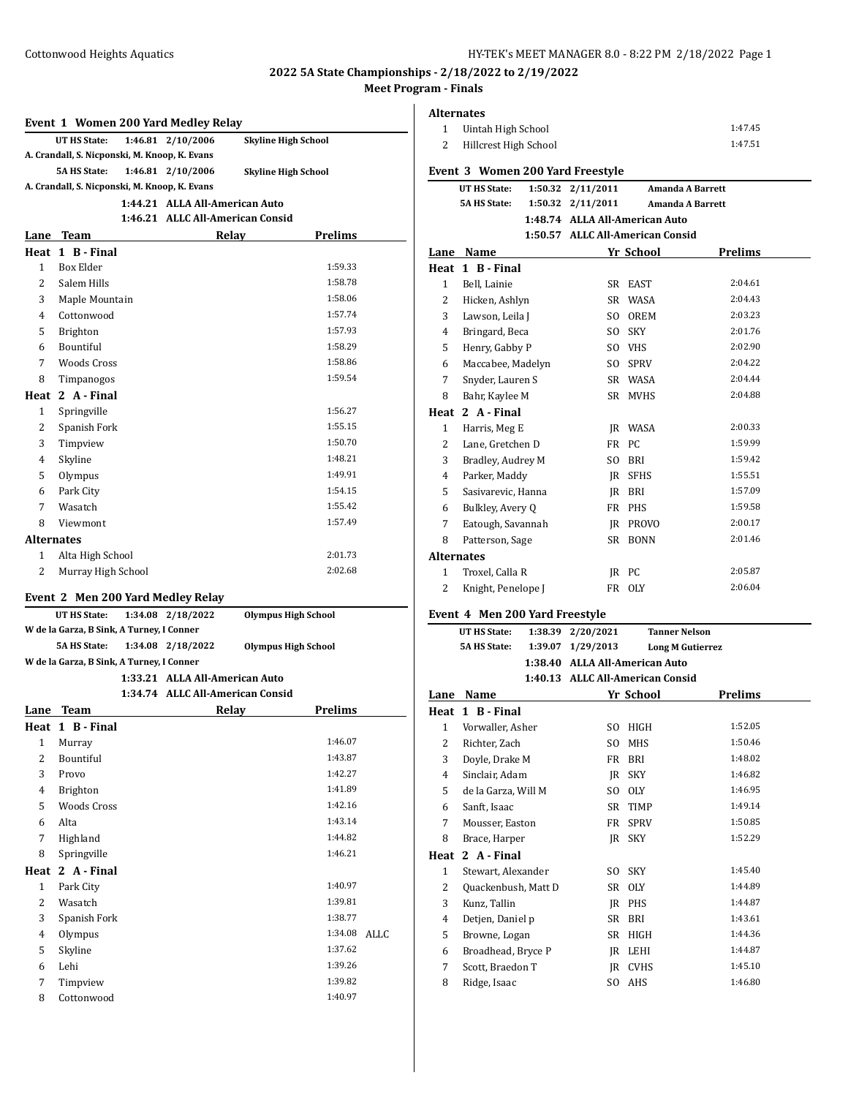**Alternates**

### **Event 1 Women 200 Yard Medley Relay**

|                                               | LVEIR 1 WOMEN 200 TATU MEMEV REIGV            |  |                                  |                            |                |  |
|-----------------------------------------------|-----------------------------------------------|--|----------------------------------|----------------------------|----------------|--|
|                                               | UT HS State:                                  |  | 1:46.81 2/10/2006                | <b>Skyline High School</b> |                |  |
| A. Crandall, S. Nicponski, M. Knoop, K. Evans |                                               |  |                                  |                            |                |  |
|                                               | <b>5A HS State:</b>                           |  | 1:46.81 2/10/2006                | <b>Skyline High School</b> |                |  |
|                                               | A. Crandall, S. Nicponski, M. Knoop, K. Evans |  |                                  |                            |                |  |
|                                               |                                               |  | 1:44.21 ALLA All-American Auto   |                            |                |  |
|                                               |                                               |  | 1:46.21 ALLC All-American Consid |                            |                |  |
| Lane                                          | Team                                          |  |                                  | Relav                      | <b>Prelims</b> |  |

|                   | Heat 1 B - Final   |         |
|-------------------|--------------------|---------|
| $\mathbf{1}$      | Box Elder          | 1:59.33 |
| 2                 | Salem Hills        | 1:58.78 |
| 3                 | Maple Mountain     | 1:58.06 |
| 4                 | Cottonwood         | 1:57.74 |
| 5                 | Brighton           | 1:57.93 |
| 6                 | Bountiful          | 1:58.29 |
| 7                 | <b>Woods Cross</b> | 1:58.86 |
| 8                 | Timpanogos         | 1:59.54 |
| Heat              | 2 A - Final        |         |
| $\mathbf{1}$      | Springville        | 1:56.27 |
| 2                 | Spanish Fork       | 1:55.15 |
| 3                 | Timpview           | 1:50.70 |
| $\overline{4}$    | Skyline            | 1:48.21 |
| 5                 | Olympus            | 1:49.91 |
| 6                 | Park City          | 1:54.15 |
| 7                 | Wasatch            | 1:55.42 |
| 8                 | Viewmont           | 1:57.49 |
| <b>Alternates</b> |                    |         |
| 1                 | Alta High School   | 2:01.73 |
| 2                 | Murray High School | 2:02.68 |
|                   |                    |         |

# **Event 2 Men 200 Yard Medley Relay**

| Lane                                      | Team                                      |                                |                                  | Relav                      | Prelims |  |
|-------------------------------------------|-------------------------------------------|--------------------------------|----------------------------------|----------------------------|---------|--|
|                                           |                                           |                                | 1:34.74 ALLC All-American Consid |                            |         |  |
|                                           |                                           | 1:33.21 ALLA All-American Auto |                                  |                            |         |  |
|                                           | W de la Garza, B Sink, A Turney, I Conner |                                |                                  |                            |         |  |
|                                           | <b>5A HS State:</b>                       |                                | 1:34.08 2/18/2022                | <b>Olympus High School</b> |         |  |
| W de la Garza, B Sink, A Turney, I Conner |                                           |                                |                                  |                            |         |  |
|                                           | UT HS State:                              |                                | 1:34.08 2/18/2022                | <b>Olympus High School</b> |         |  |

|              | Heat 1 B-Final     |         |      |
|--------------|--------------------|---------|------|
| $\mathbf{1}$ | Murray             | 1:46.07 |      |
| 2            | Bountiful          | 1:43.87 |      |
| 3            | Provo              | 1:42.27 |      |
| 4            | <b>Brighton</b>    | 1:41.89 |      |
| 5            | <b>Woods Cross</b> | 1:42.16 |      |
| 6            | Alta               | 1:43.14 |      |
| 7            | Highland           | 1:44.82 |      |
| 8            | Springville        | 1:46.21 |      |
|              |                    |         |      |
|              | Heat 2 A-Final     |         |      |
| 1            | Park City          | 1:40.97 |      |
| 2            | Wasatch            | 1:39.81 |      |
| 3            | Spanish Fork       | 1:38.77 |      |
| 4            | Olympus            | 1:34.08 | ALLC |
| 5            | Skyline            | 1:37.62 |      |
| 6            | Lehi               | 1:39.26 |      |
| 7            | Timpview           | 1:39.82 |      |

| $\mathbf{1}$   | Uintah High School                         |                    |           |                                                                    | 1:47.45                 |
|----------------|--------------------------------------------|--------------------|-----------|--------------------------------------------------------------------|-------------------------|
| $\overline{c}$ | Hillcrest High School                      |                    |           |                                                                    | 1:47.51                 |
|                |                                            |                    |           |                                                                    |                         |
|                | Event 3 Women 200 Yard Freestyle           |                    |           |                                                                    |                         |
|                | <b>UT HS State:</b><br><b>5A HS State:</b> | 1:50.32<br>1:50.32 | 2/11/2011 |                                                                    | <b>Amanda A Barrett</b> |
|                |                                            |                    | 2/11/2011 |                                                                    | <b>Amanda A Barrett</b> |
|                |                                            |                    |           | 1:48.74 ALLA All-American Auto<br>1:50.57 ALLC All-American Consid |                         |
| Lane           | Name                                       |                    |           | Yr School                                                          | <b>Prelims</b>          |
| Heat           | 1 B - Final                                |                    |           |                                                                    |                         |
| $\mathbf{1}$   | Bell, Lainie                               |                    | SR        | EAST                                                               | 2:04.61                 |
| 2              | Hicken, Ashlyn                             |                    | SR        | <b>WASA</b>                                                        | 2:04.43                 |
| 3              | Lawson, Leila J                            |                    | SO.       | <b>OREM</b>                                                        | 2:03.23                 |
| 4              | Bringard, Beca                             |                    | SO.       | <b>SKY</b>                                                         | 2:01.76                 |
| 5              | Henry, Gabby P                             |                    |           | SO VHS                                                             | 2:02.90                 |
| 6              | Maccabee, Madelyn                          |                    | SO.       | <b>SPRV</b>                                                        | 2:04.22                 |
| 7              | Snyder, Lauren S                           |                    | SR        | <b>WASA</b>                                                        | 2:04.44                 |
| 8              | Bahr, Kaylee M                             |                    | <b>SR</b> | <b>MVHS</b>                                                        | 2:04.88                 |
|                | Heat 2 A-Final                             |                    |           |                                                                    |                         |
| $\mathbf{1}$   | Harris, Meg E                              |                    |           | <b>IR WASA</b>                                                     | 2:00.33                 |
| 2              | Lane, Gretchen D                           |                    | FR        | PC                                                                 | 1:59.99                 |
| 3              | Bradley, Audrey M                          |                    | SO.       | <b>BRI</b>                                                         | 1:59.42                 |
| 4              | Parker, Maddy                              |                    |           | JR SFHS                                                            | 1:55.51                 |
| 5              | Sasivarevic, Hanna                         |                    | IR        | <b>BRI</b>                                                         | 1:57.09                 |
| 6              | Bulkley, Avery Q                           |                    | FR        | <b>PHS</b>                                                         | 1:59.58                 |
| 7              | Eatough, Savannah                          |                    | IR        | <b>PROVO</b>                                                       | 2:00.17                 |
| 8              | Patterson, Sage                            |                    | SR        | <b>BONN</b>                                                        | 2:01.46                 |
|                | Alternates                                 |                    |           |                                                                    |                         |
| 1              | Troxel, Calla R                            |                    |           | JR PC                                                              | 2:05.87                 |
| $\overline{2}$ | Knight, Penelope J                         |                    |           | FR OLY                                                             | 2:06.04                 |
|                | Event 4 Men 200 Yard Freestyle             |                    |           |                                                                    |                         |
|                | <b>UT HS State:</b>                        | 1:38.39            | 2/20/2021 | <b>Tanner Nelson</b>                                               |                         |
|                | <b>5A HS State:</b>                        | 1:39.07            | 1/29/2013 | <b>Long M Gutierrez</b>                                            |                         |
|                |                                            |                    |           |                                                                    |                         |

**1:38.40 ALLA All-American Auto 1:40.13 ALLC All-American Consid**

|      |                     | 1:40.15 ALLE AII-AIIIEI ICAII CONSIQ |             |         |
|------|---------------------|--------------------------------------|-------------|---------|
| Lane | Name                |                                      | Yr School   | Prelims |
|      | Heat 1 B - Final    |                                      |             |         |
| 1    | Vorwaller, Asher    | SO.                                  | HIGH        | 1:52.05 |
| 2    | Richter, Zach       | SO                                   | MHS         | 1:50.46 |
| 3    | Doyle, Drake M      | FR                                   | <b>BRI</b>  | 1:48.02 |
| 4    | Sinclair, Adam      |                                      | JR SKY      | 1:46.82 |
| 5    | de la Garza, Will M | SO.                                  | 0LY         | 1:46.95 |
| 6    | Sanft, Isaac        | SR                                   | <b>TIMP</b> | 1:49.14 |
| 7    | Mousser, Easton     | FR                                   | <b>SPRV</b> | 1:50.85 |
| 8    | Brace, Harper       |                                      | IR SKY      | 1:52.29 |
| Heat | 2 A - Final         |                                      |             |         |
| 1    | Stewart, Alexander  | SO                                   | <b>SKY</b>  | 1:45.40 |
| 2    | Quackenbush, Matt D |                                      | SR OLY      | 1:44.89 |
| 3    | Kunz, Tallin        | IR                                   | PHS         | 1:44.87 |
| 4    | Detjen, Daniel p    | SR                                   | BRI         | 1:43.61 |
| 5    | Browne, Logan       | SR                                   | HIGH        | 1:44.36 |
| 6    | Broadhead, Bryce P  | IR                                   | LEHI        | 1:44.87 |
| 7    | Scott, Braedon T    | IR                                   | <b>CVHS</b> | 1:45.10 |
| 8    | Ridge, Isaac        | SO.                                  | AHS         | 1:46.80 |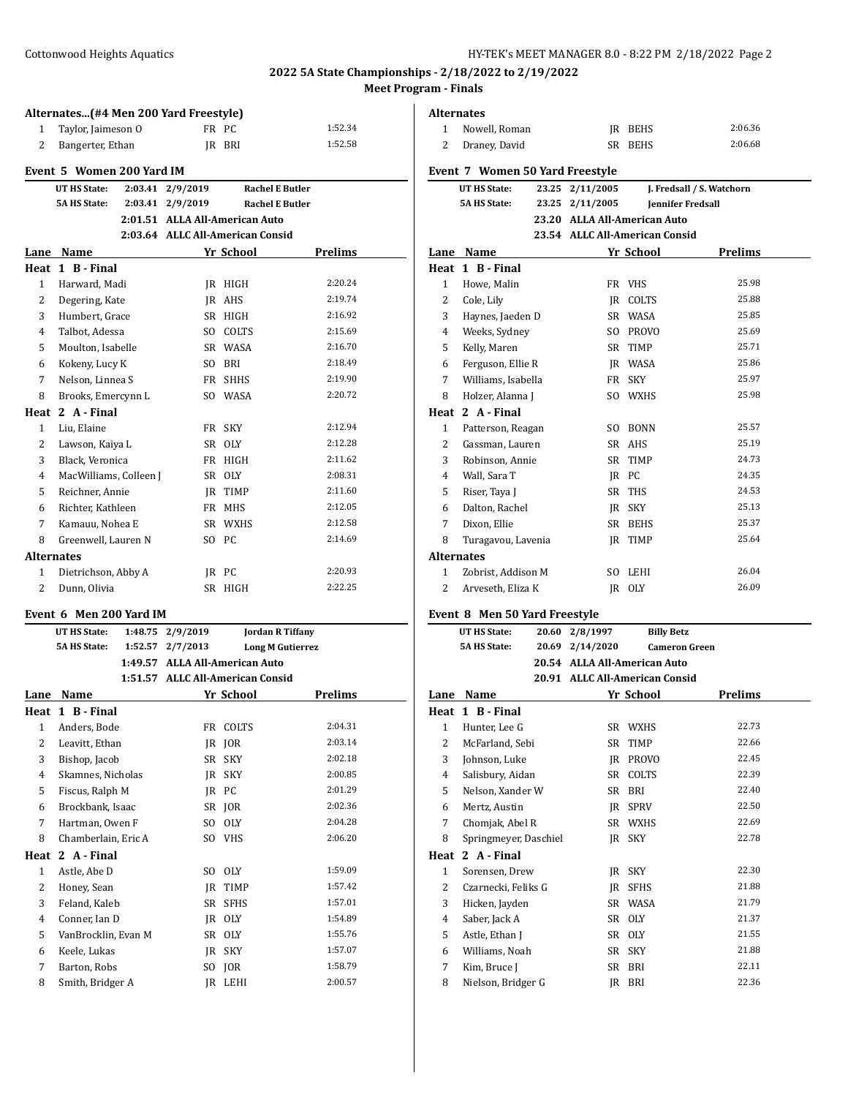| Alternates(#4 Men 200 Yard Freestyle) |                                     |                    |                                  |              |                                                  |
|---------------------------------------|-------------------------------------|--------------------|----------------------------------|--------------|--------------------------------------------------|
| 1                                     | Taylor, Jaimeson O                  |                    |                                  | FR PC        | 1:52.34                                          |
| 2                                     | Bangerter, Ethan                    |                    | IR                               | BRI          | 1:52.58                                          |
|                                       | Event 5 Women 200 Yard IM           |                    |                                  |              |                                                  |
|                                       |                                     |                    |                                  |              |                                                  |
|                                       | UT HS State:<br><b>5A HS State:</b> | 2:03.41<br>2:03.41 | 2/9/2019<br>2/9/2019             |              | <b>Rachel E Butler</b><br><b>Rachel E Butler</b> |
|                                       |                                     |                    | 2:01.51 ALLA All-American Auto   |              |                                                  |
|                                       |                                     |                    | 2:03.64 ALLC All-American Consid |              |                                                  |
| Lane                                  | Name                                |                    |                                  | Yr School    | <b>Prelims</b>                                   |
| Heat                                  | 1 B - Final                         |                    |                                  |              |                                                  |
| 1                                     | Harward, Madi                       |                    | IR                               | HIGH         | 2:20.24                                          |
| 2                                     | Degering, Kate                      |                    | IR                               | AHS          | 2:19.74                                          |
| 3                                     | Humbert, Grace                      |                    | <b>SR</b>                        | HIGH         | 2:16.92                                          |
| $\overline{4}$                        | Talbot, Adessa                      |                    | SO.                              | <b>COLTS</b> | 2:15.69                                          |
| 5                                     | Moulton, Isabelle                   |                    |                                  | SR WASA      | 2:16.70                                          |
| 6                                     | Kokeny, Lucy K                      |                    | SO.                              | BRI          | 2:18.49                                          |
| 7                                     | Nelson, Linnea S                    |                    | FR                               | <b>SHHS</b>  | 2:19.90                                          |
| 8                                     | Brooks, Emercynn L                  |                    | SO.                              | <b>WASA</b>  | 2:20.72                                          |
| Heat                                  | 2 A - Final                         |                    |                                  |              |                                                  |
| $\mathbf{1}$                          | Liu, Elaine                         |                    | FR -                             | <b>SKY</b>   | 2:12.94                                          |
| 2                                     | Lawson, Kaiya L                     |                    | SR                               | <b>OLY</b>   | 2:12.28                                          |
| 3                                     | Black, Veronica                     |                    | FR                               | <b>HIGH</b>  | 2:11.62                                          |
| 4                                     | MacWilliams, Colleen J              |                    | <b>SR</b>                        | <b>OLY</b>   | 2:08.31                                          |
| 5                                     | Reichner, Annie                     |                    | IR                               | <b>TIMP</b>  | 2:11.60                                          |
| 6                                     | Richter, Kathleen                   |                    | FR -                             | <b>MHS</b>   | 2:12.05                                          |
| 7                                     | Kamauu, Nohea E                     |                    | SR                               | <b>WXHS</b>  | 2:12.58                                          |
| 8                                     | Greenwell, Lauren N                 |                    | S <sub>O</sub>                   | PC           | 2:14.69                                          |
| <b>Alternates</b>                     |                                     |                    |                                  |              |                                                  |
| 1                                     | Dietrichson, Abby A                 |                    | IR                               | PC           | 2:20.93                                          |
| 2                                     | Dunn, Olivia                        |                    | SR.                              | <b>HIGH</b>  | 2:22.25                                          |
|                                       |                                     |                    |                                  |              |                                                  |

### **Event 6 Men 200 Yard IM**

|              | <b>UT HS State:</b> | 1:48.75 | 2/9/2019                         |              | <b>Jordan R Tiffany</b> |
|--------------|---------------------|---------|----------------------------------|--------------|-------------------------|
|              | <b>5A HS State:</b> | 1:52.57 | 2/7/2013                         |              | <b>Long M Gutierrez</b> |
|              |                     | 1:49.57 | <b>ALLA All-American Auto</b>    |              |                         |
|              |                     |         | 1:51.57 ALLC All-American Consid |              |                         |
| Lane         | Name                |         |                                  | Yr School    | <b>Prelims</b>          |
| Heat         | 1 B - Final         |         |                                  |              |                         |
| $\mathbf{1}$ | Anders, Bode        |         | FR                               | <b>COLTS</b> | 2:04.31                 |
| 2            | Leavitt, Ethan      |         | IR                               | <b>JOR</b>   | 2:03.14                 |
| 3            | Bishop, Jacob       |         | <b>SR</b>                        | <b>SKY</b>   | 2:02.18                 |
| 4            | Skamnes, Nicholas   |         | JR.                              | <b>SKY</b>   | 2:00.85                 |
| 5            | Fiscus, Ralph M     |         | IR                               | <b>PC</b>    | 2:01.29                 |
| 6            | Brockbank, Isaac    |         | SR                               | IOR          | 2:02.36                 |
| 7            | Hartman, Owen F     |         | S <sub>O</sub>                   | <b>OLY</b>   | 2:04.28                 |
| 8            | Chamberlain, Eric A |         | SO.                              | <b>VHS</b>   | 2:06.20                 |
| Heat         | 2 A - Final         |         |                                  |              |                         |
| $\mathbf{1}$ | Astle, Abe D        |         | S <sub>O</sub>                   | <b>OLY</b>   | 1:59.09                 |
| 2            | Honey, Sean         |         | JR.                              | <b>TIMP</b>  | 1:57.42                 |
| 3            | Feland, Kaleb       |         | <b>SR</b>                        | <b>SFHS</b>  | 1:57.01                 |
| 4            | Conner, Ian D       |         | <b>JR</b>                        | <b>OLY</b>   | 1:54.89                 |
| 5            | VanBrocklin, Evan M |         | <b>SR</b>                        | 0LY          | 1:55.76                 |
| 6            | Keele, Lukas        |         | IR                               | <b>SKY</b>   | 1:57.07                 |
| 7            | Barton, Robs        |         | SO.                              | JOR          | 1:58.79                 |
| 8            | Smith, Bridger A    |         | IR                               | <b>LEHI</b>  | 2:00.57                 |

| Alternates        |                                                      |       |                                |              |                           |
|-------------------|------------------------------------------------------|-------|--------------------------------|--------------|---------------------------|
| 1                 | Nowell, Roman                                        |       |                                | JR BEHS      | 2:06.36                   |
| 2                 | Draney, David                                        |       |                                | SR BEHS      | 2:06.68                   |
|                   |                                                      |       |                                |              |                           |
|                   | Event 7 Women 50 Yard Freestyle                      |       |                                |              |                           |
|                   | <b>UT HS State:</b>                                  | 23.25 | 2/11/2005                      |              | J. Fredsall / S. Watchorn |
|                   | <b>5A HS State:</b>                                  |       | 23.25 2/11/2005                |              | <b>Jennifer Fredsall</b>  |
|                   |                                                      |       | 23.20 ALLA All-American Auto   |              |                           |
|                   |                                                      |       | 23.54 ALLC All-American Consid |              |                           |
|                   | Lane Name                                            |       |                                | Yr School    | Prelims                   |
|                   | Heat 1 B - Final                                     |       |                                |              |                           |
| $\mathbf{1}$      | Howe, Malin                                          |       |                                | FR VHS       | 25.98                     |
| 2                 | Cole, Lily                                           |       |                                | IR COLTS     | 25.88                     |
| 3                 | Haynes, Jaeden D                                     |       |                                | SR WASA      | 25.85                     |
| 4                 | Weeks, Sydney                                        |       |                                | SO PROVO     | 25.69                     |
| 5                 | Kelly, Maren                                         |       |                                | SR TIMP      | 25.71                     |
| 6                 | Ferguson, Ellie R                                    |       |                                | JR WASA      | 25.86                     |
| 7                 | Williams, Isabella                                   |       |                                | FR SKY       | 25.97                     |
| 8                 | Holzer, Alanna J                                     |       |                                | SO WXHS      | 25.98                     |
|                   | Heat 2 A - Final                                     |       |                                |              |                           |
| 1                 | Patterson, Reagan                                    |       |                                | SO BONN      | 25.57                     |
| 2                 | Gassman, Lauren                                      |       |                                | SR AHS       | 25.19                     |
| 3                 | Robinson, Annie                                      |       |                                | SR TIMP      | 24.73                     |
| 4                 | Wall, Sara T                                         |       |                                | IR PC        | 24.35                     |
| 5                 | Riser, Taya J                                        |       |                                | SR THS       | 24.53                     |
| 6                 | Dalton, Rachel                                       |       |                                | IR SKY       | 25.13                     |
| 7                 | Dixon, Ellie                                         |       |                                | SR BEHS      | 25.37                     |
| 8                 | Turagavou, Lavenia                                   |       |                                | IR TIMP      | 25.64                     |
| <b>Alternates</b> |                                                      |       |                                |              |                           |
| 1                 | Zobrist, Addison M                                   |       |                                | SO LEHI      | 26.04                     |
| 2                 | Arveseth, Eliza K                                    |       |                                | JR OLY       | 26.09                     |
|                   |                                                      |       |                                |              |                           |
|                   | Event 8 Men 50 Yard Freestyle<br><b>UT HS State:</b> | 20.60 | 2/8/1997                       |              | <b>Billy Betz</b>         |
|                   | <b>5A HS State:</b>                                  |       | 20.69 2/14/2020                |              | <b>Cameron Green</b>      |
|                   |                                                      |       | 20.54 ALLA All-American Auto   |              |                           |
|                   |                                                      |       | 20.91 ALLC All-American Consid |              |                           |
|                   | Lane Name                                            |       |                                | Yr School    | Prelims                   |
|                   | Heat 1 B - Final                                     |       |                                |              |                           |
|                   |                                                      |       |                                |              | 22.73                     |
| 1<br>2            | Hunter, Lee G<br>McFarland, Sebi                     |       | SR.<br>SR                      | WXHS<br>TIMP | 22.66                     |
| 3                 | Johnson, Luke                                        |       | JR                             | PROVO        | 22.45                     |
| 4                 | Salisbury, Aidan                                     |       | SR                             | COLTS        | 22.39                     |
| 5                 | Nelson, Xander W                                     |       |                                |              | 22.40                     |
|                   |                                                      |       | SR                             | BRI          | 22.50                     |
| 6                 | Mertz, Austin                                        |       | JR                             | SPRV         | 22.69                     |
| 7                 | Chomjak, Abel R                                      |       | SR                             | WXHS         | 22.78                     |
| 8                 | Springmeyer, Daschiel                                |       | JR                             | SKY          |                           |
| Heat              | 2 A - Final                                          |       |                                |              |                           |
| 1                 | Sorensen, Drew                                       |       | JR                             | SKY          | 22.30                     |
| 2                 | Czarnecki, Feliks G                                  |       | JR                             | SFHS         | 21.88                     |
| 3                 | Hicken, Jayden                                       |       |                                | SR WASA      | 21.79                     |
| 4                 | Saber, Jack A                                        |       | SR                             | <b>OLY</b>   | 21.37                     |
| 5                 | Astle, Ethan J                                       |       | SR                             | <b>OLY</b>   | 21.55                     |
| 6                 | Williams, Noah                                       |       | SR                             | SKY          | 21.88                     |
| 7                 | Kim, Bruce J                                         |       |                                |              |                           |
|                   |                                                      |       | SR                             | BRI          | 22.11                     |
| 8                 | Nielson, Bridger G                                   |       | JR                             | BRI          | 22.36                     |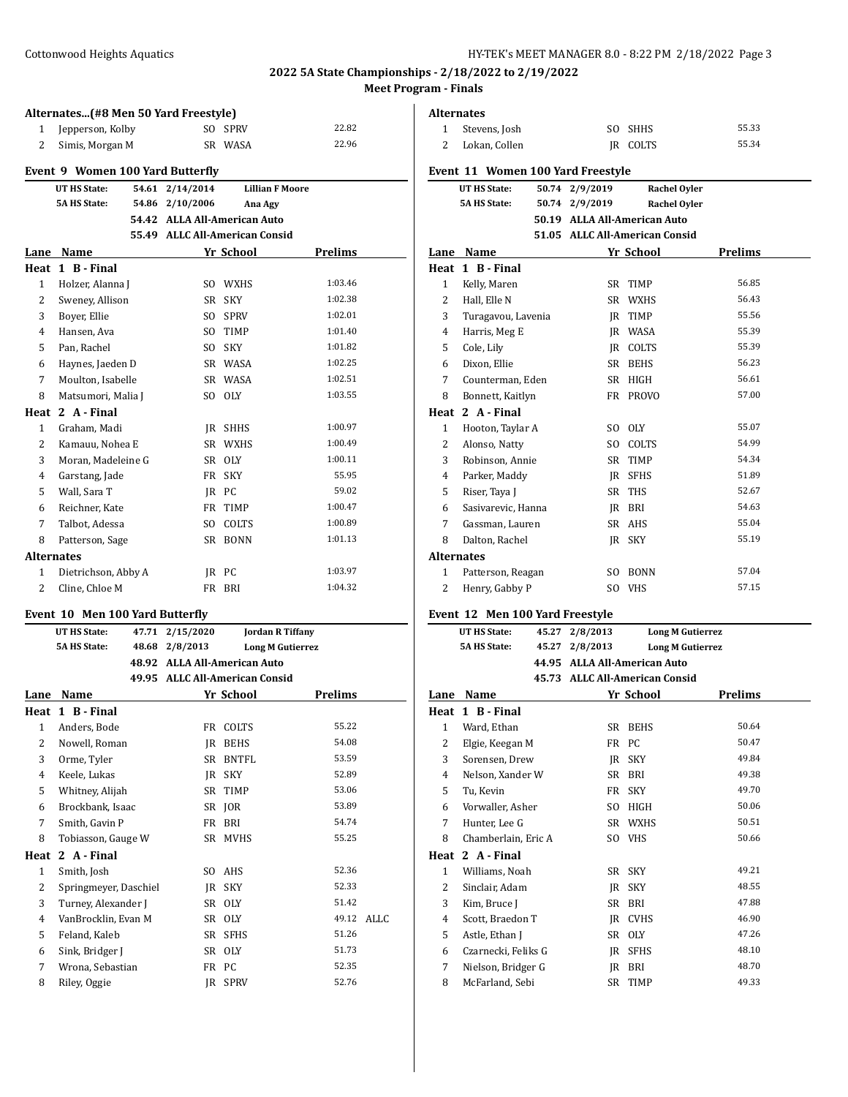# **Alternates...(#8 Men 50 Yard Freestyle)** 1 Jepperson, Kolby SO SPRV 22.82 2 Simis, Morgan M SR WASA 22.96 **Event 9 Women 100 Yard Butterfly UT HS State: 54.61 2/14/2014 Lillian F Moore 5A HS State: 54.86 2/10/2006 Ana Agy 54.42 ALLA All-American Auto 55.49 ALLC All-American Consid Lane Name Yr School Prelims Heat 1 B - Final** 1 Holzer, Alanna J SO WXHS 1:03.46 2 Sweney, Allison SR SKY 1:02.38 3 Boyer, Ellie SO SPRV 1:02.01 4 Hansen, Ava SO TIMP 1:01.40 5 Pan, Rachel SO SKY 1:01.82 6 Haynes, Jaeden D SR WASA 1:02.25 7 Moulton, Isabelle SR WASA 1:02.51 8 Matsumori, Malia J SO OLY 1:03.55 **Heat 2 A - Final** 1 Graham, Madi JR SHHS 1:00.97 2 Kamauu, Nohea E SR WXHS 1:00.49 3 Moran, Madeleine G SR OLY 1:00.11 4 Garstang, Jade FR SKY 55.95 5 Wall, Sara T JR PC 59.02 6 Reichner, Kate FR TIMP 1:00.47 7 Talbot, Adessa SO COLTS 1:00.89 8 Patterson, Sage SR BONN 1:01.13 **Alternates** 1 Dietrichson, Abby A JR PC 1:03.97 2 Cline, Chloe M FR BRI 1:04.32

#### **Event 10 Men 100 Yard Butterfly**

|                | <b>UT HS State:</b><br>47.71 | 2/15/2020                      |              | <b>Jordan R Tiffany</b> |      |
|----------------|------------------------------|--------------------------------|--------------|-------------------------|------|
|                | <b>5A HS State:</b><br>48.68 | 2/8/2013                       |              | <b>Long M Gutierrez</b> |      |
|                | 48.92                        | <b>ALLA All-American Auto</b>  |              |                         |      |
|                |                              | 49.95 ALLC All-American Consid |              |                         |      |
| Lane           | Name                         |                                | Yr School    | <b>Prelims</b>          |      |
|                | Heat 1 B - Final             |                                |              |                         |      |
| 1              | Anders, Bode                 | FR                             | COLTS        | 55.22                   |      |
| 2              | Nowell, Roman                | <b>IR</b>                      | <b>BEHS</b>  | 54.08                   |      |
| 3              | Orme, Tyler                  | SR                             | <b>BNTFL</b> | 53.59                   |      |
| $\overline{4}$ | Keele, Lukas                 | IR                             | <b>SKY</b>   | 52.89                   |      |
| 5              | Whitney, Alijah              | SR                             | TIMP         | 53.06                   |      |
| 6              | Brockbank, Isaac             | SR                             | IOR          | 53.89                   |      |
| 7              | Smith, Gavin P               | FR                             | <b>BRI</b>   | 54.74                   |      |
| 8              | Tobiasson, Gauge W           | SR                             | <b>MVHS</b>  | 55.25                   |      |
| Heat           | 2 A - Final                  |                                |              |                         |      |
| $\mathbf{1}$   | Smith, Josh                  | SO.                            | AHS          | 52.36                   |      |
| 2              | Springmeyer, Daschiel        | IR                             | <b>SKY</b>   | 52.33                   |      |
| 3              | Turney, Alexander J          | SR                             | <b>OLY</b>   | 51.42                   |      |
| 4              | VanBrocklin, Evan M          | SR                             | 0LY          | 49.12                   | ALLC |
| 5              | Feland, Kaleb                | SR                             | <b>SFHS</b>  | 51.26                   |      |
| 6              | Sink, Bridger J              | SR                             | 0LY          | 51.73                   |      |
| 7              | Wrona, Sebastian             | FR                             | <b>PC</b>    | 52.35                   |      |
| 8              | Riley, Oggie                 | IR                             | <b>SPRV</b>  | 52.76                   |      |
|                |                              |                                |              |                         |      |

|                | <b>Alternates</b>                 |                |                                |                |  |
|----------------|-----------------------------------|----------------|--------------------------------|----------------|--|
| 1              | Stevens, Josh                     |                | SO SHHS                        | 55.33          |  |
| 2              | Lokan, Collen                     |                | <b>IR COLTS</b>                | 55.34          |  |
|                | Event 11 Women 100 Yard Freestyle |                |                                |                |  |
|                | <b>UT HS State:</b>               | 50.74 2/9/2019 | <b>Rachel Oyler</b>            |                |  |
|                | <b>5A HS State:</b>               | 50.74 2/9/2019 | <b>Rachel Oyler</b>            |                |  |
|                |                                   |                | 50.19 ALLA All-American Auto   |                |  |
|                |                                   |                | 51.05 ALLC All-American Consid |                |  |
| Lane           | <b>Name</b>                       |                | Yr School                      | <b>Prelims</b> |  |
| Heat           | 1 B - Final                       |                |                                |                |  |
| $\mathbf{1}$   | Kelly, Maren                      | SR             | <b>TIMP</b>                    | 56.85          |  |
| $\overline{2}$ | Hall, Elle N                      |                | SR WXHS                        | 56.43          |  |
| 3              | Turagavou, Lavenia                |                | IR TIMP                        | 55.56          |  |
| 4              | Harris, Meg E                     |                | <b>IR WASA</b>                 | 55.39          |  |
| 5              | Cole, Lily                        |                | <b>IR COLTS</b>                | 55.39          |  |
| 6              | Dixon, Ellie                      |                | SR BEHS                        | 56.23          |  |
| 7              | Counterman, Eden                  |                | SR HIGH                        | 56.61          |  |
| 8              | Bonnett, Kaitlyn                  |                | FR PROVO                       | 57.00          |  |
|                | Heat 2 A - Final                  |                |                                |                |  |
| 1              | Hooton, Taylar A                  |                | SO OLY                         | 55.07          |  |
| 2              | Alonso, Natty                     | SO.            | <b>COLTS</b>                   | 54.99          |  |
| 3              | Robinson, Annie                   |                | SR TIMP                        | 54.34          |  |
| 4              | Parker, Maddy                     |                | IR SFHS                        | 51.89          |  |
| 5              | Riser, Taya J                     |                | SR THS                         | 52.67          |  |
| 6              | Sasivarevic, Hanna                |                | IR BRI                         | 54.63          |  |
| 7              | Gassman, Lauren                   |                | SR AHS                         | 55.04          |  |
| 8              | Dalton, Rachel                    |                | JR SKY                         | 55.19          |  |
|                | Alternates                        |                |                                |                |  |
| 1              | Patterson, Reagan                 | SO.            | BONN                           | 57.04          |  |
| 2              | Henry, Gabby P                    | SO.            | <b>VHS</b>                     | 57.15          |  |
|                | Event 12 Men 100 Yard Freestyle   |                |                                |                |  |
|                | <b>UT HS State:</b>               | 45.27 2/8/2013 | <b>Long M Gutierrez</b>        |                |  |
|                | <b>5A HS State:</b><br>45.27      | 2/8/2013       | <b>Long M Gutierrez</b>        |                |  |

| State: | 45.27 2/8/2013 | <b>Long M Gutierrez</b>                                                      |
|--------|----------------|------------------------------------------------------------------------------|
| State: | 45.27 2/8/2013 | <b>Long M Gutierrez</b>                                                      |
|        |                | $AA$ $\Omega$ $\Gamma$ $AI$ $I$ $AI$ $I$ $A$ $m$ $m$ $a$ $n$ $b$ $b$ $b$ $c$ |

| 44.95 ALLA All-American Auto   |
|--------------------------------|
| 45.73 ALLC All-American Consid |

| Lane         | Name                |      | Yr School   | Prelims |  |
|--------------|---------------------|------|-------------|---------|--|
|              | Heat 1 B - Final    |      |             |         |  |
| $\mathbf{1}$ | Ward, Ethan         | SR - | <b>BEHS</b> | 50.64   |  |
| 2            | Elgie, Keegan M     |      | FR PC       | 50.47   |  |
| 3            | Sorensen, Drew      |      | IR SKY      | 49.84   |  |
| 4            | Nelson, Xander W    | SR   | BRI         | 49.38   |  |
| 5            | Tu, Kevin           | FR   | <b>SKY</b>  | 49.70   |  |
| 6            | Vorwaller, Asher    | SO.  | <b>HIGH</b> | 50.06   |  |
| 7            | Hunter, Lee G       | SR   | WXHS        | 50.51   |  |
| 8            | Chamberlain, Eric A |      | SO VHS      | 50.66   |  |
| Heat         | 2 A - Final         |      |             |         |  |
| $\mathbf{1}$ | Williams, Noah      | SR   | <b>SKY</b>  | 49.21   |  |
| 2            | Sinclair, Adam      | IR   | <b>SKY</b>  | 48.55   |  |
| 3            | Kim, Bruce J        | SR   | <b>BRI</b>  | 47.88   |  |
| 4            | Scott, Braedon T    | IR   | <b>CVHS</b> | 46.90   |  |
| 5            | Astle, Ethan J      | SR   | <b>OLY</b>  | 47.26   |  |
| 6            | Czarnecki, Feliks G | JR   | <b>SFHS</b> | 48.10   |  |
| 7            | Nielson, Bridger G  | IR   | BRI         | 48.70   |  |
| 8            | McFarland, Sebi     | SR   | TIMP        | 49.33   |  |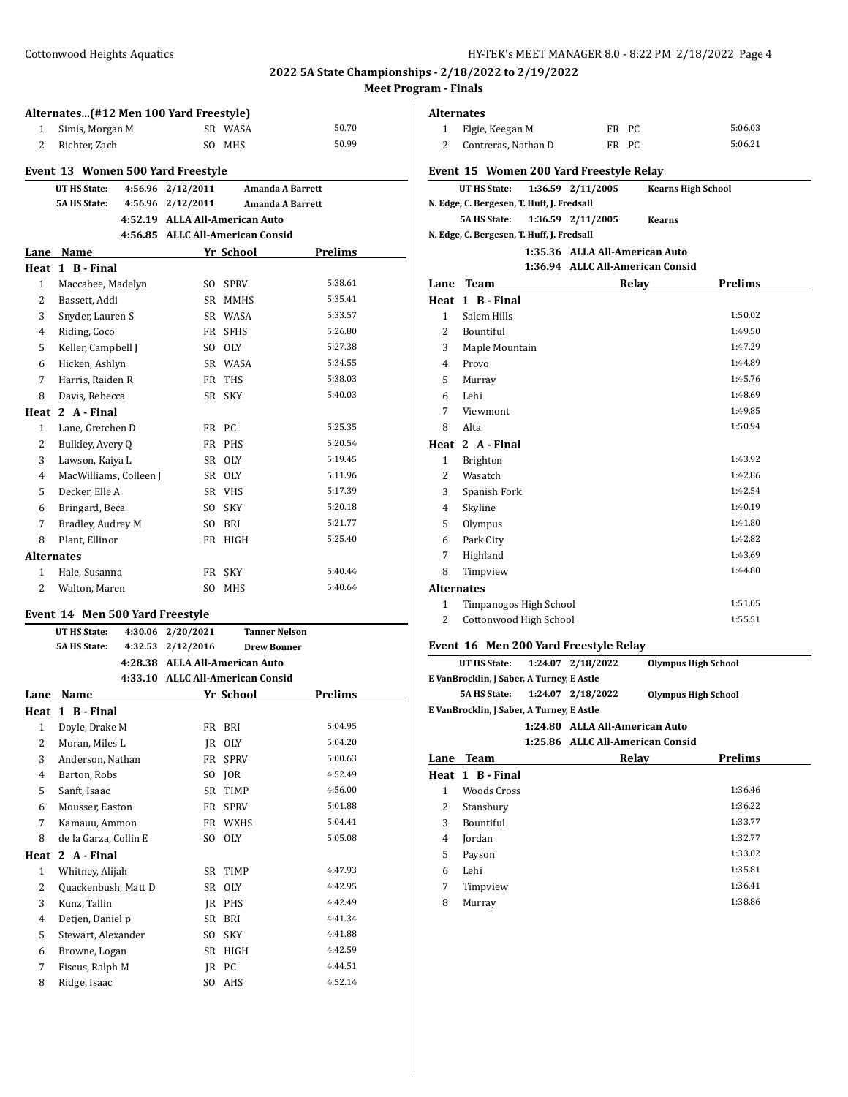|                | Alternates(#12 Men 100 Yard Freestyle)                                                                      |         |                                  |                  |                  |  |  |  |  |
|----------------|-------------------------------------------------------------------------------------------------------------|---------|----------------------------------|------------------|------------------|--|--|--|--|
| $\mathbf{1}$   | Simis, Morgan M                                                                                             |         |                                  | SR WASA          | 50.70            |  |  |  |  |
| $\overline{2}$ | Richter, Zach                                                                                               |         | SO.                              | <b>MHS</b>       | 50.99            |  |  |  |  |
|                |                                                                                                             |         |                                  |                  |                  |  |  |  |  |
|                | Event 13 Women 500 Yard Freestyle<br>4:56.96<br>2/12/2011<br><b>UT HS State:</b><br><b>Amanda A Barrett</b> |         |                                  |                  |                  |  |  |  |  |
|                | <b>5A HS State:</b>                                                                                         | 4:56.96 | 2/12/2011                        |                  | Amanda A Barrett |  |  |  |  |
|                |                                                                                                             |         | 4:52.19 ALLA All-American Auto   |                  |                  |  |  |  |  |
|                |                                                                                                             |         | 4:56.85 ALLC All-American Consid |                  |                  |  |  |  |  |
| Lane           | Name                                                                                                        |         |                                  | Yr School        | <b>Prelims</b>   |  |  |  |  |
| Heat           | 1 B - Final                                                                                                 |         |                                  |                  |                  |  |  |  |  |
| $\mathbf{1}$   | Maccabee, Madelyn                                                                                           |         | S <sub>O</sub>                   | <b>SPRV</b>      | 5:38.61          |  |  |  |  |
| 2              | Bassett, Addi                                                                                               |         | SR                               | <b>MMHS</b>      | 5:35.41          |  |  |  |  |
| 3              | Snyder, Lauren S                                                                                            |         | SR                               | WASA             | 5:33.57          |  |  |  |  |
| 4              | Riding, Coco                                                                                                |         | FR                               | <b>SFHS</b>      | 5:26.80          |  |  |  |  |
| 5              | Keller, Campbell J                                                                                          |         | SO.                              | 0LY              | 5:27.38          |  |  |  |  |
| 6              | Hicken, Ashlyn                                                                                              |         | SR                               | WASA             | 5:34.55          |  |  |  |  |
| 7              | Harris, Raiden R                                                                                            |         | FR                               | <b>THS</b>       | 5:38.03          |  |  |  |  |
| 8              | Davis, Rebecca                                                                                              |         | <b>SR</b>                        | <b>SKY</b>       | 5:40.03          |  |  |  |  |
|                | Heat 2 A - Final                                                                                            |         |                                  |                  |                  |  |  |  |  |
| $\mathbf{1}$   | Lane, Gretchen D                                                                                            |         | FR                               | РC               | 5:25.35          |  |  |  |  |
| 2              | Bulkley, Avery Q                                                                                            |         | FR                               | <b>PHS</b>       | 5:20.54          |  |  |  |  |
| 3              | Lawson, Kaiya L                                                                                             |         | SR                               | O <sub>1</sub> Y | 5:19.45          |  |  |  |  |
| 4              | MacWilliams, Colleen J                                                                                      |         | SR                               | <b>OLY</b>       | 5:11.96          |  |  |  |  |
| 5              | Decker, Elle A                                                                                              |         | SR                               | VHS              | 5:17.39          |  |  |  |  |
| 6              | Bringard, Beca                                                                                              |         | S <sub>O</sub>                   | <b>SKY</b>       | 5:20.18          |  |  |  |  |
| 7              | Bradley, Audrey M                                                                                           |         | S <sub>O</sub>                   | <b>BRI</b>       | 5:21.77          |  |  |  |  |
| 8              | Plant, Ellinor                                                                                              |         | <b>FR</b>                        | <b>HIGH</b>      | 5:25.40          |  |  |  |  |
|                | <b>Alternates</b>                                                                                           |         |                                  |                  |                  |  |  |  |  |
| 1              | Hale, Susanna                                                                                               |         | FR                               | <b>SKY</b>       | 5:40.44          |  |  |  |  |
| $\overline{2}$ | Walton, Maren                                                                                               |         | S <sub>O</sub>                   | <b>MHS</b>       | 5:40.64          |  |  |  |  |
|                |                                                                                                             |         |                                  |                  |                  |  |  |  |  |

#### **Event 14 Men 500 Yard Freestyle**

|      | <b>UT HS State:</b>   | 4:30.06 | 2/20/2021 | <b>Tanner Nelson</b>             |                |
|------|-----------------------|---------|-----------|----------------------------------|----------------|
|      | <b>5A HS State:</b>   | 4:32.53 | 2/12/2016 | <b>Drew Bonner</b>               |                |
|      |                       |         |           | 4:28.38 ALLA All-American Auto   |                |
|      |                       |         |           | 4:33.10 ALLC All-American Consid |                |
| Lane | Name                  |         |           | Yr School                        | <b>Prelims</b> |
| Heat | 1 B - Final           |         |           |                                  |                |
| 1    | Doyle, Drake M        |         | FR        | BRI                              | 5:04.95        |
| 2    | Moran, Miles L        |         | JR.       | <b>OLY</b>                       | 5:04.20        |
| 3    | Anderson, Nathan      |         | FR        | <b>SPRV</b>                      | 5:00.63        |
| 4    | Barton, Robs          |         | SO.       | <b>JOR</b>                       | 4:52.49        |
| 5    | Sanft, Isaac          |         | <b>SR</b> | <b>TIMP</b>                      | 4:56.00        |
| 6    | Mousser, Easton       |         | FR        | <b>SPRV</b>                      | 5:01.88        |
| 7    | Kamauu, Ammon         |         | FR        | <b>WXHS</b>                      | 5:04.41        |
| 8    | de la Garza, Collin E |         | SO.       | <b>OLY</b>                       | 5:05.08        |
| Heat | 2 A - Final           |         |           |                                  |                |
| 1    | Whitney, Alijah       |         | SR        | <b>TIMP</b>                      | 4:47.93        |
| 2    | Quackenbush, Matt D   |         | SR.       | <b>OLY</b>                       | 4:42.95        |
| 3    | Kunz, Tallin          |         | IR        | <b>PHS</b>                       | 4:42.49        |
| 4    | Detjen, Daniel p      |         | <b>SR</b> | <b>BRI</b>                       | 4:41.34        |
| 5    | Stewart, Alexander    |         | SO.       | SKY                              | 4:41.88        |
| 6    | Browne, Logan         |         | SR        | <b>HIGH</b>                      | 4:42.59        |
| 7    | Fiscus, Ralph M       |         | IR        | PC                               | 4:44.51        |
| 8    | Ridge, Isaac          |         | SO.       | AHS                              | 4:52.14        |

#### **Alternates**

| 1 Elgie, Keegan M     | FR PC | 5:06.03 |
|-----------------------|-------|---------|
| 2 Contreras, Nathan D | FR PC | 5:06.21 |

|                          | Event 15 Women 200 Yard Freestyle Relay    |  |                                  |                           |         |
|--------------------------|--------------------------------------------|--|----------------------------------|---------------------------|---------|
|                          | UT HS State:                               |  | 1:36.59 2/11/2005                | <b>Kearns High School</b> |         |
|                          | N. Edge, C. Bergesen, T. Huff, J. Fredsall |  |                                  |                           |         |
|                          | <b>5A HS State:</b>                        |  | 1:36.59 2/11/2005                | <b>Kearns</b>             |         |
|                          | N. Edge, C. Bergesen, T. Huff, J. Fredsall |  |                                  |                           |         |
|                          |                                            |  | 1:35.36 ALLA All-American Auto   |                           |         |
|                          |                                            |  | 1:36.94 ALLC All-American Consid |                           |         |
| Lane                     | <b>Team</b>                                |  |                                  | Relay                     | Prelims |
|                          | Heat 1 B - Final                           |  |                                  |                           |         |
| 1                        | Salem Hills                                |  |                                  |                           | 1:50.02 |
| $\mathcal{L}$            | <b>Bountiful</b>                           |  |                                  |                           | 1:49.50 |
| 3                        | Maple Mountain                             |  |                                  |                           | 1:47.29 |
| 4                        | Provo                                      |  |                                  |                           | 1:44.89 |
| 5                        | Murray                                     |  |                                  |                           | 1:45.76 |
| 6                        | Lehi                                       |  |                                  |                           | 1:48.69 |
| 7                        | Viewmont                                   |  |                                  |                           | 1:49.85 |
| 8                        | Alta                                       |  |                                  |                           | 1:50.94 |
|                          | Heat 2 A - Final                           |  |                                  |                           |         |
| 1                        | <b>Brighton</b>                            |  |                                  |                           | 1:43.92 |
| $\overline{\mathcal{L}}$ | Wasatch                                    |  |                                  |                           | 1:42.86 |
| 3                        | Spanish Fork                               |  |                                  |                           | 1:42.54 |

 Skyline 1:40.19 Olympus 1:41.80 Park City 1:42.82 Highland 1:43.69 Timpview 1:44.80

1 Timpanogos High School 1:51.05 2 Cottonwood High School 1:55.51

# **Event 16 Men 200 Yard Freestyle Relay**

**Alternates**

| UT HS State:                              |                                           | 1:24.07 2/18/2022              | <b>Olympus High School</b>       |         |  |  |
|-------------------------------------------|-------------------------------------------|--------------------------------|----------------------------------|---------|--|--|
| E VanBrocklin, J Saber, A Turney, E Astle |                                           |                                |                                  |         |  |  |
| <b>5A HS State:</b>                       |                                           | 1:24.07 2/18/2022              | <b>Olympus High School</b>       |         |  |  |
|                                           | E VanBrocklin, J Saber, A Turney, E Astle |                                |                                  |         |  |  |
|                                           |                                           | 1:24.80 ALLA All-American Auto |                                  |         |  |  |
|                                           |                                           |                                | 1:25.86 ALLC All-American Consid |         |  |  |
| Team<br>Lane                              |                                           |                                | Relav                            | Prelims |  |  |

| ----- |                    | ------ | .       |  |
|-------|--------------------|--------|---------|--|
|       | Heat 1 B - Final   |        |         |  |
| 1     | <b>Woods Cross</b> |        | 1:36.46 |  |
| 2     | Stansbury          |        | 1:36.22 |  |
| 3     | Bountiful          |        | 1:33.77 |  |
| 4     | Jordan             |        | 1:32.77 |  |
| 5     | Payson             |        | 1:33.02 |  |
| 6     | Lehi               |        | 1:35.81 |  |
| 7     | Timpview           |        | 1:36.41 |  |
| 8     | Murray             |        | 1:38.86 |  |
|       |                    |        |         |  |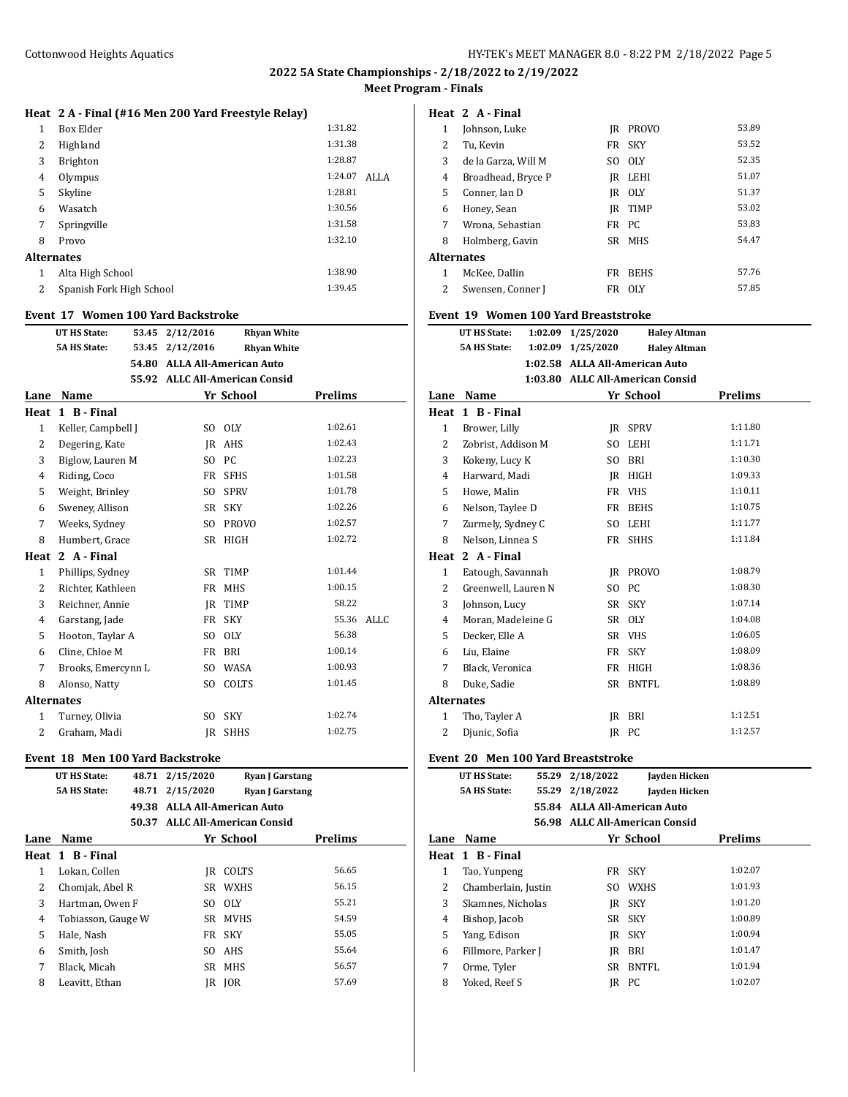# **Heat 2 A - Final (#16 Men 200 Yard Freestyle Relay)**

| 1 | Box Elder                | 1:31.82 |      |
|---|--------------------------|---------|------|
| 2 | Highland                 | 1:31.38 |      |
| 3 | <b>Brighton</b>          | 1:28.87 |      |
| 4 | Olympus                  | 1:24.07 | ALLA |
| 5 | Skyline                  | 1:28.81 |      |
| 6 | Wasatch                  | 1:30.56 |      |
| 7 | Springville              | 1:31.58 |      |
| 8 | Provo                    | 1:32.10 |      |
|   | Alternates               |         |      |
| 1 | Alta High School         | 1:38.90 |      |
| 2 | Spanish Fork High School | 1:39.45 |      |
|   |                          |         |      |

#### **Event 17 Women 100 Yard Backstroke**

|                   | <b>UT HS State:</b> | 53.45 | 2/12/2016      | <b>Rhyan White</b>             |                |      |
|-------------------|---------------------|-------|----------------|--------------------------------|----------------|------|
|                   | <b>5A HS State:</b> | 53.45 | 2/12/2016      | <b>Rhyan White</b>             |                |      |
|                   |                     | 54.80 |                | <b>ALLA All-American Auto</b>  |                |      |
|                   |                     |       |                | 55.92 ALLC All-American Consid |                |      |
| Lane              | Name                |       |                | Yr School                      | <b>Prelims</b> |      |
| Heat              | 1 B - Final         |       |                |                                |                |      |
| 1                 | Keller, Campbell J  |       | SO.            | <b>OLY</b>                     | 1:02.61        |      |
| 2                 | Degering, Kate      |       | JR             | AHS                            | 1:02.43        |      |
| 3                 | Biglow, Lauren M    |       | S <sub>0</sub> | PC.                            | 1:02.23        |      |
| 4                 | Riding, Coco        |       | FR             | <b>SFHS</b>                    | 1:01.58        |      |
| 5                 | Weight, Brinley     |       | SO.            | <b>SPRV</b>                    | 1:01.78        |      |
| 6                 | Sweney, Allison     |       | SR             | <b>SKY</b>                     | 1:02.26        |      |
| 7                 | Weeks, Sydney       |       | S <sub>O</sub> | <b>PROVO</b>                   | 1:02.57        |      |
| 8                 | Humbert, Grace      |       | <b>SR</b>      | <b>HIGH</b>                    | 1:02.72        |      |
| Heat              | 2 A - Final         |       |                |                                |                |      |
| 1                 | Phillips, Sydney    |       | SR             | <b>TIMP</b>                    | 1:01.44        |      |
| 2                 | Richter, Kathleen   |       | FR             | <b>MHS</b>                     | 1:00.15        |      |
| 3                 | Reichner, Annie     |       | JR.            | <b>TIMP</b>                    | 58.22          |      |
| $\overline{4}$    | Garstang, Jade      |       | FR             | <b>SKY</b>                     | 55.36          | ALLC |
| 5                 | Hooton, Taylar A    |       | S <sub>O</sub> | <b>OLY</b>                     | 56.38          |      |
| 6                 | Cline, Chloe M      |       | FR             | <b>BRI</b>                     | 1:00.14        |      |
| 7                 | Brooks, Emercynn L  |       | S <sub>0</sub> | WASA                           | 1:00.93        |      |
| 8                 | Alonso, Natty       |       | S <sub>O</sub> | COLTS                          | 1:01.45        |      |
| <b>Alternates</b> |                     |       |                |                                |                |      |
| 1                 | Turney, Olivia      |       | S <sub>O</sub> | <b>SKY</b>                     | 1:02.74        |      |
| 2                 | Graham, Madi        |       | IR             | <b>SHHS</b>                    | 1:02.75        |      |

### **Event 18 Men 100 Yard Backstroke**

|      | UT HS State:        |       | 48.71 2/15/2020                |             | <b>Ryan J Garstang</b> |
|------|---------------------|-------|--------------------------------|-------------|------------------------|
|      | <b>5A HS State:</b> | 48.71 | 2/15/2020                      |             | <b>Ryan J Garstang</b> |
|      |                     |       | 49.38 ALLA All-American Auto   |             |                        |
|      |                     |       | 50.37 ALLC All-American Consid |             |                        |
| Lane | Name                |       |                                | Yr School   | <b>Prelims</b>         |
|      | Heat 1 B - Final    |       |                                |             |                        |
| 1    | Lokan, Collen       |       | IR                             | COLTS       | 56.65                  |
| 2    | Chomjak, Abel R     |       | SR                             | <b>WXHS</b> | 56.15                  |
| 3    | Hartman, Owen F     |       | SO.                            | 0LY         | 55.21                  |
| 4    | Tobiasson, Gauge W  |       | SR                             | <b>MVHS</b> | 54.59                  |
| 5    | Hale, Nash          |       | FR                             | <b>SKY</b>  | 55.05                  |
| 6    | Smith, Josh         |       | SO.                            | AHS         | 55.64                  |
| 7    | Black. Micah        |       |                                | SR MHS      | 56.57                  |
| 8    | Leavitt, Ethan      |       | IR                             | IOR         | 57.69                  |
|      |                     |       |                                |             |                        |

### **Heat 2 A - Final**

| 1                 | Johnson, Luke       | IR    | <b>PROVO</b> | 53.89 |
|-------------------|---------------------|-------|--------------|-------|
| 2                 | Tu. Kevin           |       | FR SKY       | 53.52 |
| 3                 | de la Garza, Will M |       | SO OLY       | 52.35 |
| 4                 | Broadhead, Bryce P  |       | IR LEHI      | 51.07 |
| 5                 | Conner. Ian D       |       | IR OLY       | 51.37 |
| 6                 | Honey, Sean         |       | IR TIMP      | 53.02 |
| 7                 | Wrona, Sebastian    | FR PC |              | 53.83 |
| 8                 | Holmberg, Gavin     |       | SR MHS       | 54.47 |
| <b>Alternates</b> |                     |       |              |       |
| 1                 | McKee. Dallin       | FR    | <b>BEHS</b>  | 57.76 |
| 2                 | Swensen, Conner J   | FR    | 0LY          | 57.85 |
|                   |                     |       |              |       |

#### **Event 19 Women 100 Yard Breaststroke**

|      | UT HS State:        | 1:02.09 1/25/2020              | <b>Haley Altman</b>              |                |  |
|------|---------------------|--------------------------------|----------------------------------|----------------|--|
|      | <b>5A HS State:</b> | 1:02.09 1/25/2020              | <b>Haley Altman</b>              |                |  |
|      |                     | 1:02.58 ALLA All-American Auto |                                  |                |  |
|      |                     |                                | 1:03.80 ALLC All-American Consid |                |  |
| Lane | Name                |                                | Yr School                        | <b>Prelims</b> |  |

| Heat              | 1 B - Final         |                |              |         |
|-------------------|---------------------|----------------|--------------|---------|
| $\mathbf{1}$      | Brower, Lilly       | IR             | <b>SPRV</b>  | 1:11.80 |
| 2                 | Zobrist, Addison M  | SO.            | LEHI         | 1:11.71 |
| 3                 | Kokeny, Lucy K      | SO.            | <b>BRI</b>   | 1:10.30 |
| 4                 | Harward, Madi       | IR             | HIGH         | 1:09.33 |
| 5                 | Howe, Malin         | FR             | <b>VHS</b>   | 1:10.11 |
| 6                 | Nelson, Taylee D    | FR             | <b>BEHS</b>  | 1:10.75 |
| 7                 | Zurmely, Sydney C   | SO.            | <b>LEHI</b>  | 1:11.77 |
| 8                 | Nelson, Linnea S    | FR             | <b>SHHS</b>  | 1:11.84 |
| Heat              | 2 A - Final         |                |              |         |
| 1                 | Eatough, Savannah   | IR             | <b>PROVO</b> | 1:08.79 |
| 2                 | Greenwell, Lauren N | S <sub>O</sub> | PC.          | 1:08.30 |
| 3                 | Johnson, Lucy       | SR             | <b>SKY</b>   | 1:07.14 |
| 4                 | Moran, Madeleine G  | SR             | <b>OLY</b>   | 1:04.08 |
| 5                 | Decker, Elle A      | SR             | <b>VHS</b>   | 1:06.05 |
| 6                 | Liu, Elaine         | FR             | <b>SKY</b>   | 1:08.09 |
| 7                 | Black, Veronica     | FR             | HIGH         | 1:08.36 |
| 8                 | Duke, Sadie         | <b>SR</b>      | BNTFL        | 1:08.89 |
| <b>Alternates</b> |                     |                |              |         |
| 1                 | Tho, Tayler A       | IR             | BRI          | 1:12.51 |
| 2                 | Djunic, Sofia       | IR             | <b>PC</b>    | 1:12.57 |

#### **Event 20 Men 100 Yard Breaststroke**

|      | UT HS State:        | 55.29 | 2/18/2022 | Jayden Hicken                  |         |  |
|------|---------------------|-------|-----------|--------------------------------|---------|--|
|      | <b>5A HS State:</b> | 55.29 | 2/18/2022 | Jayden Hicken                  |         |  |
|      |                     |       |           | 55.84 ALLA All-American Auto   |         |  |
|      |                     |       |           | 56.98 ALLC All-American Consid |         |  |
| Lane | <b>Name</b>         |       |           | Yr School                      | Prelims |  |
|      | Heat 1 B-Final      |       |           |                                |         |  |
| 1    | Tao, Yunpeng        |       | FR        | <b>SKY</b>                     | 1:02.07 |  |
| 2    | Chamberlain, Justin |       | SO        | WXHS                           | 1:01.93 |  |
| 3    | Skamnes, Nicholas   |       |           | IR SKY                         | 1:01.20 |  |
| 4    | Bishop, Jacob       |       |           | SR SKY                         | 1:00.89 |  |
| 5    | Yang, Edison        |       | IR        | SKY                            | 1:00.94 |  |
| 6    | Fillmore, Parker J  |       | IR        | <b>BRI</b>                     | 1:01.47 |  |
| 7    | Orme, Tyler         |       | SR        | BNTFL                          | 1:01.94 |  |
| 8    | Yoked, Reef S       |       | IR        | РC                             | 1:02.07 |  |
|      |                     |       |           |                                |         |  |